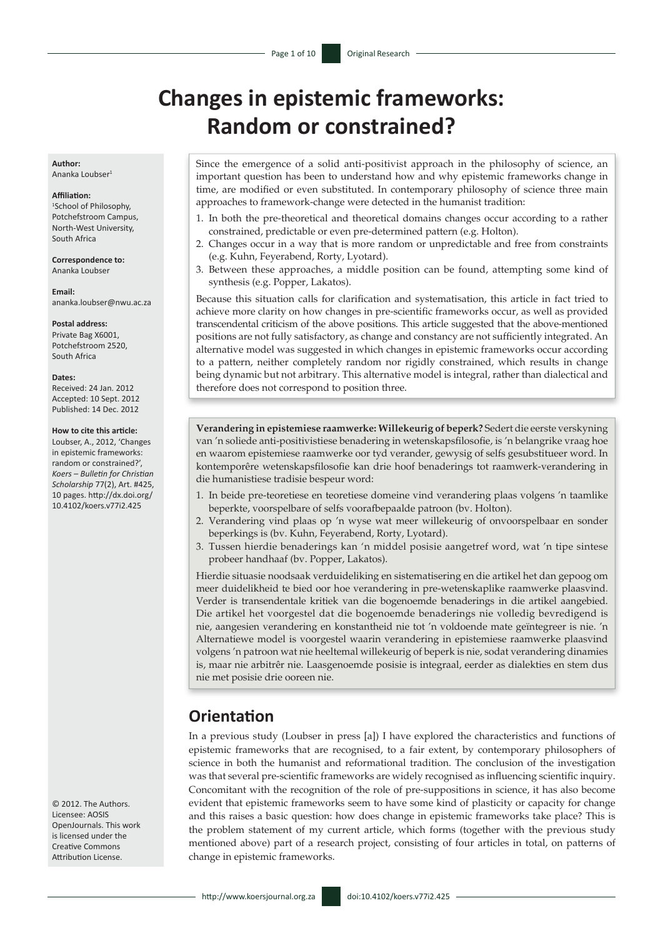# **Changes in epistemic frameworks: Random or constrained?**

**Author:** Ananka Loubser1

#### **Affiliation:**

1 School of Philosophy, Potchefstroom Campus, North-West University, South Africa

**Correspondence to:** Ananka Loubser

**Email:** [ananka.loubser@nwu.ac.za](mailto:ananka.loubser@nwu.ac.za)

#### **Postal address:**

Private Bag X6001, Potchefstroom 2520, South Africa

#### **Dates:**

Received: 24 Jan. 2012 Accepted: 10 Sept. 2012 Published: 14 Dec. 2012

#### **How to cite this article:**

Loubser, A., 2012, 'Changes in epistemic frameworks: random or constrained?', *Koers – Bulletin for Christian Scholarship* 77(2), Art. #425, 10 pages. [http://dx.doi.org/](http://dx.doi.org/10.4102/koers.v77i1.425)  [10.4102/koers.v77i2.425](http://dx.doi.org/10.4102/koers.v77i1.425)

© 2012. The Authors. Licensee: AOSIS OpenJournals. This work is licensed under the Creative Commons Attribution License.

Since the emergence of a solid anti-positivist approach in the philosophy of science, an important question has been to understand how and why epistemic frameworks change in time, are modified or even substituted. In contemporary philosophy of science three main approaches to framework-change were detected in the humanist tradition:

- 1. In both the pre-theoretical and theoretical domains changes occur according to a rather constrained, predictable or even pre-determined pattern (e.g. Holton).
- 2. Changes occur in a way that is more random or unpredictable and free from constraints (e.g. Kuhn, Feyerabend, Rorty, Lyotard).
- 3. Between these approaches, a middle position can be found, attempting some kind of synthesis (e.g. Popper, Lakatos).

Because this situation calls for clarification and systematisation, this article in fact tried to achieve more clarity on how changes in pre-scientific frameworks occur, as well as provided transcendental criticism of the above positions. This article suggested that the above-mentioned positions are not fully satisfactory, as change and constancy are not sufficiently integrated. An alternative model was suggested in which changes in epistemic frameworks occur according to a pattern, neither completely random nor rigidly constrained, which results in change being dynamic but not arbitrary. This alternative model is integral, rather than dialectical and therefore does not correspond to position three.

**Verandering in epistemiese raamwerke: Willekeurig of beperk?** Sedert die eerste verskyning van 'n soliede anti-positivistiese benadering in wetenskapsfilosofie, is 'n belangrike vraag hoe en waarom epistemiese raamwerke oor tyd verander, gewysig of selfs gesubstitueer word. In kontemporêre wetenskapsfilosofie kan drie hoof benaderings tot raamwerk-verandering in die humanistiese tradisie bespeur word:

- 1. In beide pre-teoretiese en teoretiese domeine vind verandering plaas volgens 'n taamlike beperkte, voorspelbare of selfs voorafbepaalde patroon (bv. Holton).
- 2. Verandering vind plaas op 'n wyse wat meer willekeurig of onvoorspelbaar en sonder beperkings is (bv. Kuhn, Feyerabend, Rorty, Lyotard).
- 3. Tussen hierdie benaderings kan 'n middel posisie aangetref word, wat 'n tipe sintese probeer handhaaf (bv. Popper, Lakatos).

Hierdie situasie noodsaak verduideliking en sistematisering en die artikel het dan gepoog om meer duidelikheid te bied oor hoe verandering in pre-wetenskaplike raamwerke plaasvind. Verder is transendentale kritiek van die bogenoemde benaderings in die artikel aangebied. Die artikel het voorgestel dat die bogenoemde benaderings nie volledig bevredigend is nie, aangesien verandering en konstantheid nie tot 'n voldoende mate geïntegreer is nie. 'n Alternatiewe model is voorgestel waarin verandering in epistemiese raamwerke plaasvind volgens 'n patroon wat nie heeltemal willekeurig of beperk is nie, sodat verandering dinamies is, maar nie arbitrêr nie. Laasgenoemde posisie is integraal, eerder as dialekties en stem dus nie met posisie drie ooreen nie.

# **Orientation**

In a previous study (Loubser in press [a]) I have explored the characteristics and functions of epistemic frameworks that are recognised, to a fair extent, by contemporary philosophers of science in both the humanist and reformational tradition. The conclusion of the investigation was that several pre-scientific frameworks are widely recognised as influencing scientific inquiry. Concomitant with the recognition of the role of pre-suppositions in science, it has also become evident that epistemic frameworks seem to have some kind of plasticity or capacity for change and this raises a basic question: how does change in epistemic frameworks take place? This is the problem statement of my current article, which forms (together with the previous study mentioned above) part of a research project, consisting of four articles in total, on patterns of change in epistemic frameworks.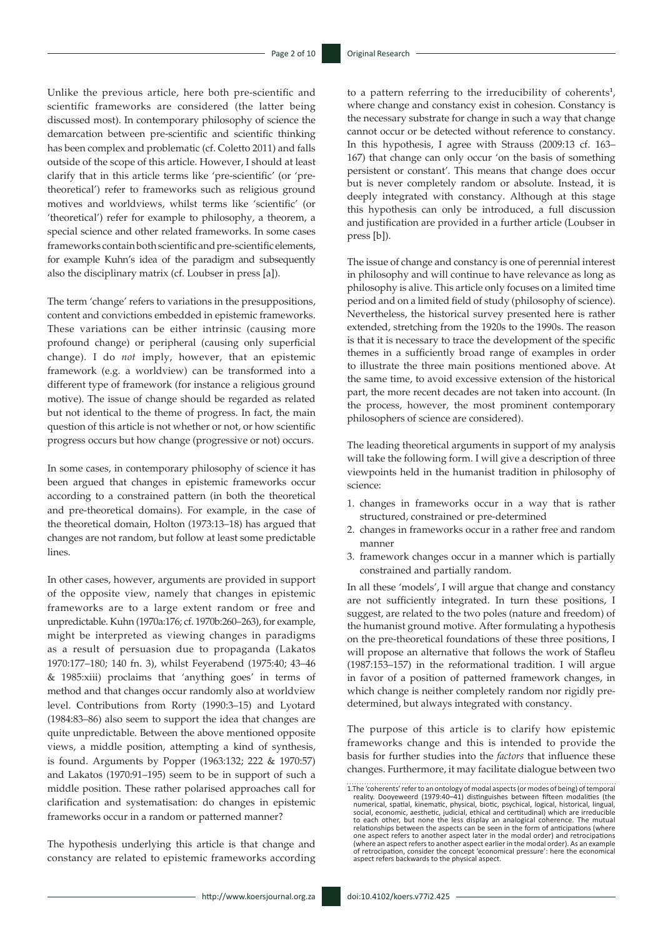Unlike the previous article, here both pre-scientific and scientific frameworks are considered (the latter being discussed most). In contemporary philosophy of science the demarcation between pre-scientific and scientific thinking has been complex and problematic (cf. Coletto 2011) and falls outside of the scope of this article. However, I should at least clarify that in this article terms like 'pre-scientific' (or 'pretheoretical') refer to frameworks such as religious ground motives and worldviews, whilst terms like 'scientific' (or 'theoretical') refer for example to philosophy, a theorem, a special science and other related frameworks. In some cases frameworks contain both scientific and pre-scientific elements, for example Kuhn's idea of the paradigm and subsequently also the disciplinary matrix (cf. Loubser in press [a]).

The term 'change' refers to variations in the presuppositions, content and convictions embedded in epistemic frameworks. These variations can be either intrinsic (causing more profound change) or peripheral (causing only superficial change). I do *not* imply, however, that an epistemic framework (e.g. a worldview) can be transformed into a different type of framework (for instance a religious ground motive). The issue of change should be regarded as related but not identical to the theme of progress. In fact, the main question of this article is not whether or not, or how scientific progress occurs but how change (progressive or not) occurs.

In some cases, in contemporary philosophy of science it has been argued that changes in epistemic frameworks occur according to a constrained pattern (in both the theoretical and pre-theoretical domains). For example, in the case of the theoretical domain, Holton (1973:13–18) has argued that changes are not random, but follow at least some predictable lines.

In other cases, however, arguments are provided in support of the opposite view, namely that changes in epistemic frameworks are to a large extent random or free and unpredictable. Kuhn (1970a:176; cf. 1970b:260–263), for example, might be interpreted as viewing changes in paradigms as a result of persuasion due to propaganda (Lakatos 1970:177–180; 140 fn. 3), whilst Feyerabend (1975:40; 43–46 & 1985:xiii) proclaims that 'anything goes' in terms of method and that changes occur randomly also at worldview level. Contributions from Rorty (1990:3–15) and Lyotard (1984:83–86) also seem to support the idea that changes are quite unpredictable. Between the above mentioned opposite views, a middle position, attempting a kind of synthesis, is found. Arguments by Popper (1963:132; 222 & 1970:57) and Lakatos (1970:91–195) seem to be in support of such a middle position. These rather polarised approaches call for clarification and systematisation: do changes in epistemic frameworks occur in a random or patterned manner?

The hypothesis underlying this article is that change and constancy are related to epistemic frameworks according

to a pattern referring to the irreducibility of coherents**<sup>1</sup>** , where change and constancy exist in cohesion. Constancy is the necessary substrate for change in such a way that change cannot occur or be detected without reference to constancy. In this hypothesis, I agree with Strauss (2009:13 cf. 163– 167) that change can only occur 'on the basis of something persistent or constant'. This means that change does occur but is never completely random or absolute. Instead, it is deeply integrated with constancy. Although at this stage this hypothesis can only be introduced, a full discussion and justification are provided in a further article (Loubser in press [b]).

The issue of change and constancy is one of perennial interest in philosophy and will continue to have relevance as long as philosophy is alive. This article only focuses on a limited time period and on a limited field of study (philosophy of science). Nevertheless, the historical survey presented here is rather extended, stretching from the 1920s to the 1990s. The reason is that it is necessary to trace the development of the specific themes in a sufficiently broad range of examples in order to illustrate the three main positions mentioned above. At the same time, to avoid excessive extension of the historical part, the more recent decades are not taken into account. (In the process, however, the most prominent contemporary philosophers of science are considered).

The leading theoretical arguments in support of my analysis will take the following form. I will give a description of three viewpoints held in the humanist tradition in philosophy of science:

- 1. changes in frameworks occur in a way that is rather structured, constrained or pre-determined
- 2. changes in frameworks occur in a rather free and random manner
- 3. framework changes occur in a manner which is partially constrained and partially random.

In all these 'models', I will argue that change and constancy are not sufficiently integrated. In turn these positions, I suggest, are related to the two poles (nature and freedom) of the humanist ground motive. After formulating a hypothesis on the pre-theoretical foundations of these three positions, I will propose an alternative that follows the work of Stafleu (1987:153–157) in the reformational tradition. I will argue in favor of a position of patterned framework changes, in which change is neither completely random nor rigidly predetermined, but always integrated with constancy.

The purpose of this article is to clarify how epistemic frameworks change and this is intended to provide the basis for further studies into the *factors* that influence these changes. Furthermore, it may facilitate dialogue between two

<sup>1.</sup>The 'coherents' refer to an ontology of modal aspects (or modes of being) of temporal reality. Dooyeweerd (1979:40–41) distinguishes between fifteen modalities (the numerical, spacing halo reality. Distinguishes between to each other, but none the less display an analogical coherence. The mutual relationships between the aspects can be seen in the form of anticipations (where one aspect refers to another aspect later in the modal order) and retrocipations (where an aspect refers to another aspect earlier in the modal order). As an example of retrocipation, consider the concept 'economical pressure': here the economical aspect refers backwards to the physical aspect.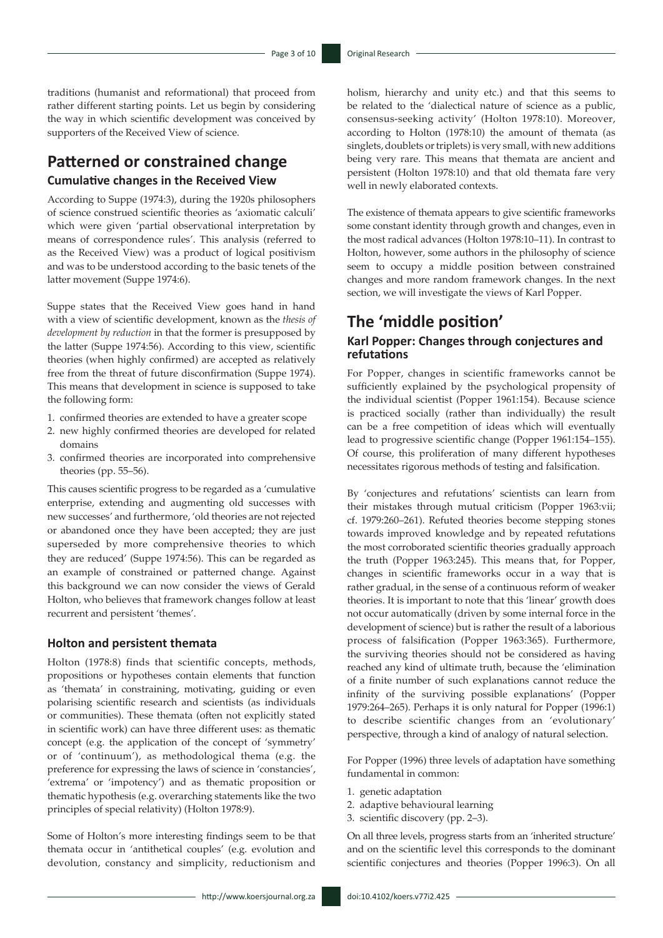traditions (humanist and reformational) that proceed from rather different starting points. Let us begin by considering the way in which scientific development was conceived by supporters of the Received View of science.

# **Patterned or constrained change Cumulative changes in the Received View**

According to Suppe (1974:3), during the 1920s philosophers of science construed scientific theories as 'axiomatic calculi' which were given 'partial observational interpretation by means of correspondence rules'. This analysis (referred to as the Received View) was a product of logical positivism and was to be understood according to the basic tenets of the latter movement (Suppe 1974:6).

Suppe states that the Received View goes hand in hand with a view of scientific development, known as the *thesis of development by reduction* in that the former is presupposed by the latter (Suppe 1974:56). According to this view, scientific theories (when highly confirmed) are accepted as relatively free from the threat of future disconfirmation (Suppe 1974). This means that development in science is supposed to take the following form:

- 1. confirmed theories are extended to have a greater scope
- 2. new highly confirmed theories are developed for related domains
- 3. confirmed theories are incorporated into comprehensive theories (pp. 55–56).

This causes scientific progress to be regarded as a 'cumulative enterprise, extending and augmenting old successes with new successes' and furthermore, 'old theories are not rejected or abandoned once they have been accepted; they are just superseded by more comprehensive theories to which they are reduced' (Suppe 1974:56). This can be regarded as an example of constrained or patterned change. Against this background we can now consider the views of Gerald Holton, who believes that framework changes follow at least recurrent and persistent 'themes'.

### **Holton and persistent themata**

Holton (1978:8) finds that scientific concepts, methods, propositions or hypotheses contain elements that function as 'themata' in constraining, motivating, guiding or even polarising scientific research and scientists (as individuals or communities). These themata (often not explicitly stated in scientific work) can have three different uses: as thematic concept (e.g. the application of the concept of 'symmetry' or of 'continuum'), as methodological thema (e.g. the preference for expressing the laws of science in 'constancies', 'extrema' or 'impotency') and as thematic proposition or thematic hypothesis (e.g. overarching statements like the two principles of special relativity) (Holton 1978:9).

Some of Holton's more interesting findings seem to be that themata occur in 'antithetical couples' (e.g. evolution and devolution, constancy and simplicity, reductionism and holism, hierarchy and unity etc.) and that this seems to be related to the 'dialectical nature of science as a public, consensus-seeking activity' (Holton 1978:10). Moreover, according to Holton (1978:10) the amount of themata (as singlets, doublets or triplets) is very small, with new additions being very rare. This means that themata are ancient and persistent (Holton 1978:10) and that old themata fare very well in newly elaborated contexts.

The existence of themata appears to give scientific frameworks some constant identity through growth and changes, even in the most radical advances (Holton 1978:10–11). In contrast to Holton, however, some authors in the philosophy of science seem to occupy a middle position between constrained changes and more random framework changes. In the next section, we will investigate the views of Karl Popper.

# **The 'middle position'**

### **Karl Popper: Changes through conjectures and refutations**

For Popper, changes in scientific frameworks cannot be sufficiently explained by the psychological propensity of the individual scientist (Popper 1961:154). Because science is practiced socially (rather than individually) the result can be a free competition of ideas which will eventually lead to progressive scientific change (Popper 1961:154–155). Of course, this proliferation of many different hypotheses necessitates rigorous methods of testing and falsification.

By 'conjectures and refutations' scientists can learn from their mistakes through mutual criticism (Popper 1963:vii; cf. 1979:260–261). Refuted theories become stepping stones towards improved knowledge and by repeated refutations the most corroborated scientific theories gradually approach the truth (Popper 1963:245). This means that, for Popper, changes in scientific frameworks occur in a way that is rather gradual, in the sense of a continuous reform of weaker theories. It is important to note that this 'linear' growth does not occur automatically (driven by some internal force in the development of science) but is rather the result of a laborious process of falsification (Popper 1963:365). Furthermore, the surviving theories should not be considered as having reached any kind of ultimate truth, because the 'elimination of a finite number of such explanations cannot reduce the infinity of the surviving possible explanations' (Popper 1979:264–265). Perhaps it is only natural for Popper (1996:1) to describe scientific changes from an 'evolutionary' perspective, through a kind of analogy of natural selection.

For Popper (1996) three levels of adaptation have something fundamental in common:

- 1. genetic adaptation
- 2. adaptive behavioural learning
- 3. scientific discovery (pp. 2–3).

On all three levels, progress starts from an 'inherited structure' and on the scientific level this corresponds to the dominant scientific conjectures and theories (Popper 1996:3). On all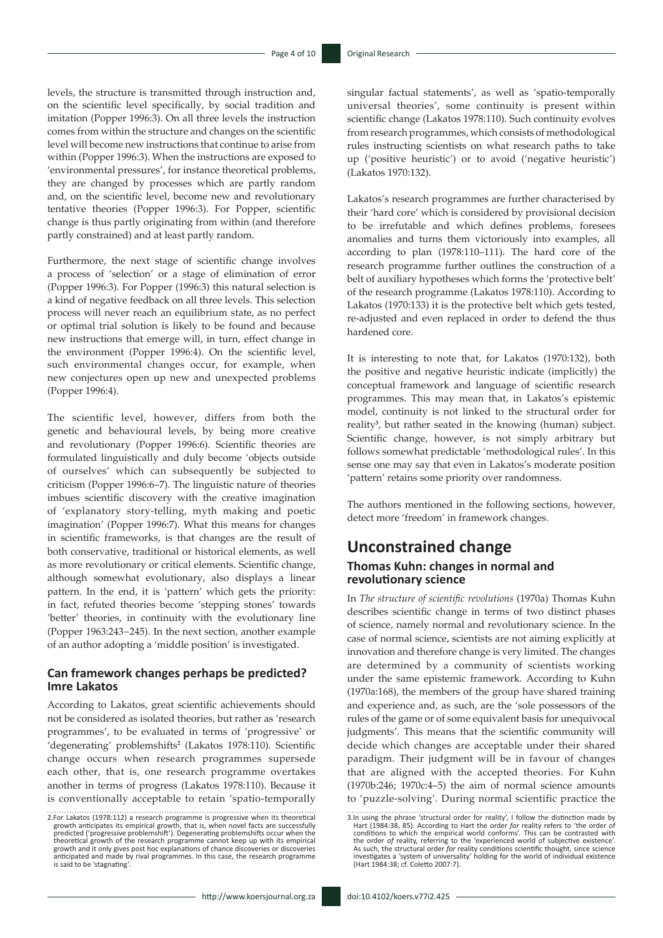levels, the structure is transmitted through instruction and, on the scientific level specifically, by social tradition and imitation (Popper 1996:3). On all three levels the instruction comes from within the structure and changes on the scientific level will become new instructions that continue to arise from within (Popper 1996:3). When the instructions are exposed to 'environmental pressures', for instance theoretical problems, they are changed by processes which are partly random and, on the scientific level, become new and revolutionary tentative theories (Popper 1996:3). For Popper, scientific change is thus partly originating from within (and therefore partly constrained) and at least partly random.

Furthermore, the next stage of scientific change involves a process of 'selection' or a stage of elimination of error (Popper 1996:3). For Popper (1996:3) this natural selection is a kind of negative feedback on all three levels. This selection process will never reach an equilibrium state, as no perfect or optimal trial solution is likely to be found and because new instructions that emerge will, in turn, effect change in the environment (Popper 1996:4). On the scientific level, such environmental changes occur, for example, when new conjectures open up new and unexpected problems (Popper 1996:4).

The scientific level, however, differs from both the genetic and behavioural levels, by being more creative and revolutionary (Popper 1996:6). Scientific theories are formulated linguistically and duly become 'objects outside of ourselves' which can subsequently be subjected to criticism (Popper 1996:6–7). The linguistic nature of theories imbues scientific discovery with the creative imagination of 'explanatory story-telling, myth making and poetic imagination' (Popper 1996:7). What this means for changes in scientific frameworks, is that changes are the result of both conservative, traditional or historical elements, as well as more revolutionary or critical elements. Scientific change, although somewhat evolutionary, also displays a linear pattern. In the end, it is 'pattern' which gets the priority: in fact, refuted theories become 'stepping stones' towards 'better' theories, in continuity with the evolutionary line (Popper 1963:243−245). In the next section, another example of an author adopting a 'middle position' is investigated.

### **Can framework changes perhaps be predicted? Imre Lakatos**

According to Lakatos, great scientific achievements should not be considered as isolated theories, but rather as 'research programmes', to be evaluated in terms of 'progressive' or 'degenerating' problemshifts**<sup>2</sup>** (Lakatos 1978:110). Scientific change occurs when research programmes supersede each other, that is, one research programme overtakes another in terms of progress (Lakatos 1978:110). Because it is conventionally acceptable to retain 'spatio-temporally

. . . . . . . . . . . . . . . .

singular factual statements', as well as 'spatio-temporally universal theories', some continuity is present within scientific change (Lakatos 1978:110). Such continuity evolves from research programmes, which consists of methodological rules instructing scientists on what research paths to take up ('positive heuristic') or to avoid ('negative heuristic') (Lakatos 1970:132).

Lakatos's research programmes are further characterised by their 'hard core' which is considered by provisional decision to be irrefutable and which defines problems, foresees anomalies and turns them victoriously into examples, all according to plan (1978:110–111). The hard core of the research programme further outlines the construction of a belt of auxiliary hypotheses which forms the 'protective belt' of the research programme (Lakatos 1978:110). According to Lakatos (1970:133) it is the protective belt which gets tested, re-adjusted and even replaced in order to defend the thus hardened core.

It is interesting to note that, for Lakatos (1970:132), both the positive and negative heuristic indicate (implicitly) the conceptual framework and language of scientific research programmes. This may mean that, in Lakatos's epistemic model, continuity is not linked to the structural order for reality**<sup>3</sup>** , but rather seated in the knowing (human) subject. Scientific change, however, is not simply arbitrary but follows somewhat predictable 'methodological rules'. In this sense one may say that even in Lakatos's moderate position 'pattern' retains some priority over randomness.

The authors mentioned in the following sections, however, detect more 'freedom' in framework changes.

## **Unconstrained change Thomas Kuhn: changes in normal and revolutionary science**

In *The structure of scientific revolutions* (1970a) Thomas Kuhn describes scientific change in terms of two distinct phases of science, namely normal and revolutionary science. In the case of normal science, scientists are not aiming explicitly at innovation and therefore change is very limited. The changes are determined by a community of scientists working under the same epistemic framework. According to Kuhn (1970a:168), the members of the group have shared training and experience and, as such, are the 'sole possessors of the rules of the game or of some equivalent basis for unequivocal judgments'. This means that the scientific community will decide which changes are acceptable under their shared paradigm. Their judgment will be in favour of changes that are aligned with the accepted theories. For Kuhn (1970b:246; 1970c:4–5) the aim of normal science amounts to 'puzzle-solving'. During normal scientific practice the

<sup>2.</sup>For Lakatos (1978:112) a research programme is progressive when its theoretical growth anticipates its empirical growth, that is, when novel facts are successfully predicted ('progressive problemshift'). Degenerating problemshifts occur when the<br>theoretical growth of the research programme cannot keep up with its empirical<br>growth and it only gives post hoc explanations of chance disc anticipated and made by rival programmes. In this case, the research programme is said to be 'stagnating'

<sup>3.</sup>In using the phrase 'structural order for reality', I follow the distinction made by Hart (1984:38, 85). According to Hart the order *for* reality refers to 'the order of conditions to which the empirical world conforms'. This can be contrasted with the order *of* reality, referring to the 'experienced world of subjective existence'. As such, the structural order *for* reality conditions scientific thought, since science investigates a 'system of universality' holding for the world of individual existence (Hart 1984:38; cf. Coletto 2007:7).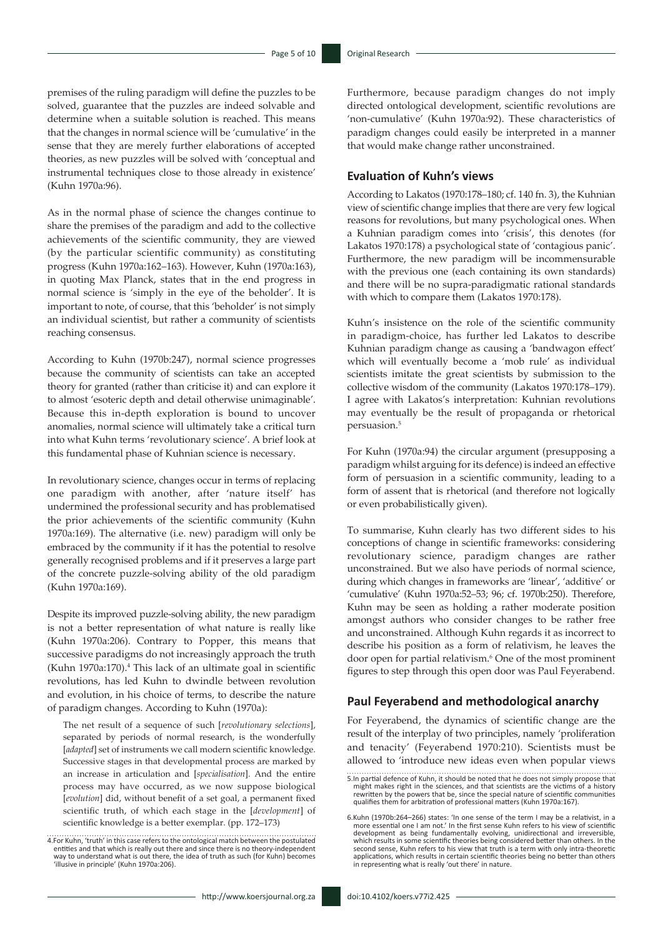premises of the ruling paradigm will define the puzzles to be solved, guarantee that the puzzles are indeed solvable and determine when a suitable solution is reached. This means that the changes in normal science will be 'cumulative' in the sense that they are merely further elaborations of accepted theories, as new puzzles will be solved with 'conceptual and instrumental techniques close to those already in existence' (Kuhn 1970a:96).

As in the normal phase of science the changes continue to share the premises of the paradigm and add to the collective achievements of the scientific community, they are viewed (by the particular scientific community) as constituting progress (Kuhn 1970a:162–163). However, Kuhn (1970a:163), in quoting Max Planck, states that in the end progress in normal science is 'simply in the eye of the beholder'. It is important to note, of course, that this 'beholder' is not simply an individual scientist, but rather a community of scientists reaching consensus.

According to Kuhn (1970b:247), normal science progresses because the community of scientists can take an accepted theory for granted (rather than criticise it) and can explore it to almost 'esoteric depth and detail otherwise unimaginable'. Because this in-depth exploration is bound to uncover anomalies, normal science will ultimately take a critical turn into what Kuhn terms 'revolutionary science'. A brief look at this fundamental phase of Kuhnian science is necessary.

In revolutionary science, changes occur in terms of replacing one paradigm with another, after 'nature itself' has undermined the professional security and has problematised the prior achievements of the scientific community (Kuhn 1970a:169). The alternative (i.e. new) paradigm will only be embraced by the community if it has the potential to resolve generally recognised problems and if it preserves a large part of the concrete puzzle-solving ability of the old paradigm (Kuhn 1970a:169).

Despite its improved puzzle-solving ability, the new paradigm is not a better representation of what nature is really like (Kuhn 1970a:206). Contrary to Popper, this means that successive paradigms do not increasingly approach the truth (Kuhn 1970a:170).4 This lack of an ultimate goal in scientific revolutions, has led Kuhn to dwindle between revolution and evolution, in his choice of terms, to describe the nature of paradigm changes. According to Kuhn (1970a):

The net result of a sequence of such [*revolutionary selections*], separated by periods of normal research, is the wonderfully [*adapted*] set of instruments we call modern scientific knowledge. Successive stages in that developmental process are marked by an increase in articulation and [*specialisation*]. And the entire process may have occurred, as we now suppose biological [*evolution*] did, without benefit of a set goal, a permanent fixed scientific truth, of which each stage in the [*development*] of scientific knowledge is a better exemplar. (pp. 172–173)

4.For Kuhn, 'truth' in this case refers to the ontological match between the postulated entities and that which is really out there and since there is no theory-independent way to understand what is out there, the idea of truth as such (for Kuhn) becomes 'illusive in principle' (Kuhn 1970a:206).

http://www.koersjournal.org.za doi:10.4102/koers.v77i2.425 -

Furthermore, because paradigm changes do not imply directed ontological development, scientific revolutions are 'non-cumulative' (Kuhn 1970a:92). These characteristics of paradigm changes could easily be interpreted in a manner that would make change rather unconstrained.

### **Evaluation of Kuhn's views**

According to Lakatos (1970:178–180; cf. 140 fn. 3), the Kuhnian view of scientific change implies that there are very few logical reasons for revolutions, but many psychological ones. When a Kuhnian paradigm comes into 'crisis', this denotes (for Lakatos 1970:178) a psychological state of 'contagious panic'. Furthermore, the new paradigm will be incommensurable with the previous one (each containing its own standards) and there will be no supra-paradigmatic rational standards with which to compare them (Lakatos 1970:178).

Kuhn's insistence on the role of the scientific community in paradigm-choice, has further led Lakatos to describe Kuhnian paradigm change as causing a 'bandwagon effect' which will eventually become a 'mob rule' as individual scientists imitate the great scientists by submission to the collective wisdom of the community (Lakatos 1970:178–179). I agree with Lakatos's interpretation: Kuhnian revolutions may eventually be the result of propaganda or rhetorical persuasion.5

For Kuhn (1970a:94) the circular argument (presupposing a paradigm whilst arguing for its defence) is indeed an effective form of persuasion in a scientific community, leading to a form of assent that is rhetorical (and therefore not logically or even probabilistically given).

To summarise, Kuhn clearly has two different sides to his conceptions of change in scientific frameworks: considering revolutionary science, paradigm changes are rather unconstrained. But we also have periods of normal science, during which changes in frameworks are 'linear', 'additive' or 'cumulative' (Kuhn 1970a:52–53; 96; cf. 1970b:250). Therefore, Kuhn may be seen as holding a rather moderate position amongst authors who consider changes to be rather free and unconstrained. Although Kuhn regards it as incorrect to describe his position as a form of relativism, he leaves the door open for partial relativism.6 One of the most prominent figures to step through this open door was Paul Feyerabend.

#### **Paul Feyerabend and methodological anarchy**

For Feyerabend, the dynamics of scientific change are the result of the interplay of two principles, namely 'proliferation and tenacity' (Feyerabend 1970:210). Scientists must be allowed to 'introduce new ideas even when popular views

<sup>5.</sup>In partial defence of Kuhn, it should be noted that he does not simply propose that might makes right in the sciences, and that scientists are the victims of a history rewritten by the powers that be, since the special nature of scientific communities qualifies them for arbitration of professional matters (Kuhn 1970a:167).

<sup>6.</sup>Kuhn (1970b:264–266) states: 'In one sense of the term I may be a relativist, in a more essential one I am not.' In the first sense Kuhn refers to his view of scientific development as being fundamentally evolving, unidirectional and irreversible, which results in some scientific theories being considered better than others. In the second sense, Kuhn refers to his view that truth is a term with only intra-theoretic applications, which results in certain scientific theories being no better than others in representing what is really 'out there' in nature.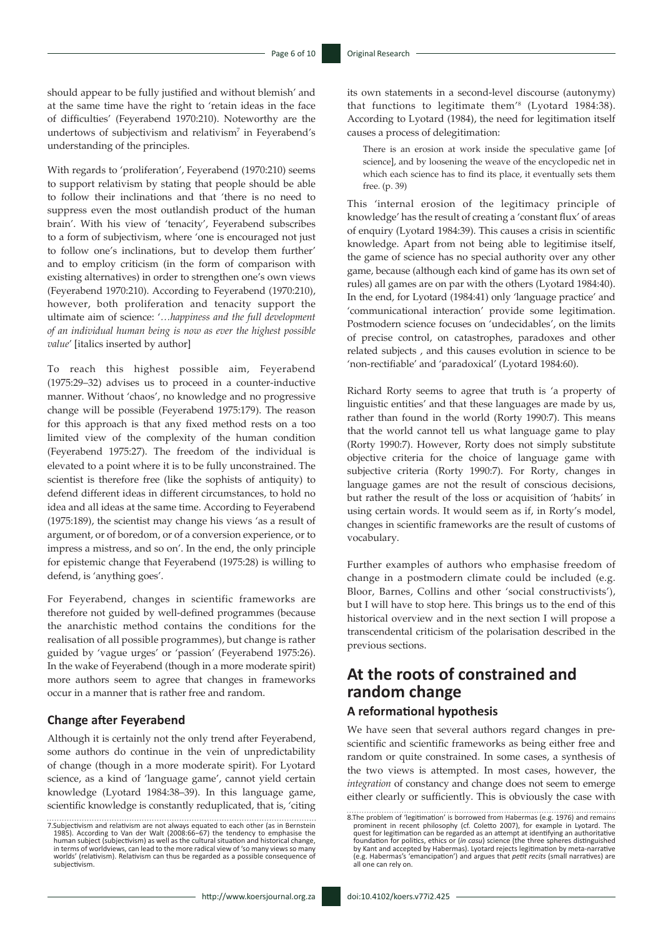should appear to be fully justified and without blemish' and at the same time have the right to 'retain ideas in the face of difficulties' (Feyerabend 1970:210). Noteworthy are the undertows of subjectivism and relativism<sup>7</sup> in Feyerabend's understanding of the principles.

With regards to 'proliferation', Feyerabend (1970:210) seems to support relativism by stating that people should be able to follow their inclinations and that 'there is no need to suppress even the most outlandish product of the human brain'. With his view of 'tenacity', Feyerabend subscribes to a form of subjectivism, where 'one is encouraged not just to follow one's inclinations, but to develop them further' and to employ criticism (in the form of comparison with existing alternatives) in order to strengthen one's own views (Feyerabend 1970:210). According to Feyerabend (1970:210), however, both proliferation and tenacity support the ultimate aim of science: '*…happiness and the full development of an individual human being is now as ever the highest possible value*' [italics inserted by author]

To reach this highest possible aim, Feyerabend (1975:29–32) advises us to proceed in a counter-inductive manner. Without 'chaos', no knowledge and no progressive change will be possible (Feyerabend 1975:179). The reason for this approach is that any fixed method rests on a too limited view of the complexity of the human condition (Feyerabend 1975:27). The freedom of the individual is elevated to a point where it is to be fully unconstrained. The scientist is therefore free (like the sophists of antiquity) to defend different ideas in different circumstances, to hold no idea and all ideas at the same time. According to Feyerabend (1975:189), the scientist may change his views 'as a result of argument, or of boredom, or of a conversion experience, or to impress a mistress, and so on'. In the end, the only principle for epistemic change that Feyerabend (1975:28) is willing to defend, is 'anything goes'.

For Feyerabend, changes in scientific frameworks are therefore not guided by well-defined programmes (because the anarchistic method contains the conditions for the realisation of all possible programmes), but change is rather guided by 'vague urges' or 'passion' (Feyerabend 1975:26). In the wake of Feyerabend (though in a more moderate spirit) more authors seem to agree that changes in frameworks occur in a manner that is rather free and random.

## **Change after Feyerabend**

Although it is certainly not the only trend after Feyerabend, some authors do continue in the vein of unpredictability of change (though in a more moderate spirit). For Lyotard science, as a kind of 'language game', cannot yield certain knowledge (Lyotard 1984:38–39). In this language game, scientific knowledge is constantly reduplicated, that is, 'citing its own statements in a second-level discourse (autonymy) that functions to legitimate them'8 (Lyotard 1984:38). According to Lyotard (1984), the need for legitimation itself causes a process of delegitimation:

There is an erosion at work inside the speculative game [of science], and by loosening the weave of the encyclopedic net in which each science has to find its place, it eventually sets them free. (p. 39)

This 'internal erosion of the legitimacy principle of knowledge' has the result of creating a 'constant flux' of areas of enquiry (Lyotard 1984:39). This causes a crisis in scientific knowledge. Apart from not being able to legitimise itself, the game of science has no special authority over any other game, because (although each kind of game has its own set of rules) all games are on par with the others (Lyotard 1984:40). In the end, for Lyotard (1984:41) only 'language practice' and 'communicational interaction' provide some legitimation. Postmodern science focuses on 'undecidables', on the limits of precise control, on catastrophes, paradoxes and other related subjects , and this causes evolution in science to be 'non-rectifiable' and 'paradoxical' (Lyotard 1984:60).

Richard Rorty seems to agree that truth is 'a property of linguistic entities' and that these languages are made by us, rather than found in the world (Rorty 1990:7). This means that the world cannot tell us what language game to play (Rorty 1990:7). However, Rorty does not simply substitute objective criteria for the choice of language game with subjective criteria (Rorty 1990:7). For Rorty, changes in language games are not the result of conscious decisions, but rather the result of the loss or acquisition of 'habits' in using certain words. It would seem as if, in Rorty's model, changes in scientific frameworks are the result of customs of vocabulary.

Further examples of authors who emphasise freedom of change in a postmodern climate could be included (e.g. Bloor, Barnes, Collins and other 'social constructivists'), but I will have to stop here. This brings us to the end of this historical overview and in the next section I will propose a transcendental criticism of the polarisation described in the previous sections.

# **At the roots of constrained and random change**

### **A reformational hypothesis**

We have seen that several authors regard changes in prescientific and scientific frameworks as being either free and random or quite constrained. In some cases, a synthesis of the two views is attempted. In most cases, however, the *integration* of constancy and change does not seem to emerge either clearly or sufficiently. This is obviously the case with

<sup>7.</sup>Subjectivism and relativism are not always equated to each other (as in Bernstein 1985). According to Van der Walt (2008:66−67) the tendency to emphasise the human subject (subjectivism) as well as the cultural situation and historical change, in terms of worldviews, can lead to the more radical view of 'so many views so many worlds' (relativism). Relativism can thus be regarded as a possible consequence of subjectivism.

<sup>8.</sup>The problem of 'legitimation' is borrowed from Habermas (e.g. 1976) and remains prominent in recent philosophy (cf. Coletto 2007), for example in Lyotard. The quest for legitimation can be regarded as an attempt at identifying an authoritative foundation for politics, ethics or (*in casu*) science (the three spheres distinguished by Kant and accepted by Habermas). Lyotard rejects legitimation by meta-narrative (e.g. Habermas's 'emancipation') and argues that *petit recits* (small narratives) are all one can rely on.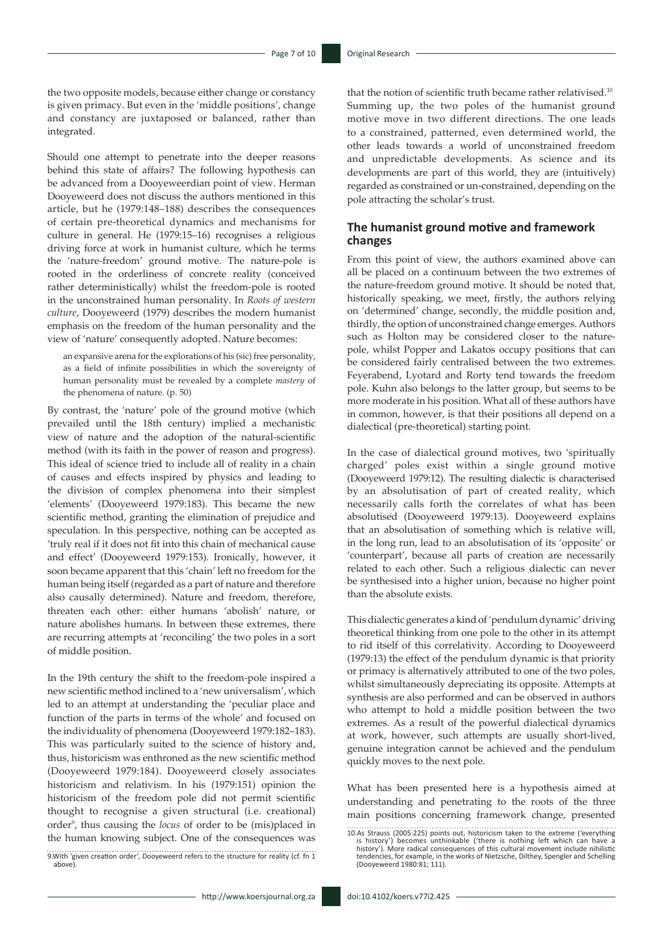the two opposite models, because either change or constancy is given primacy. But even in the 'middle positions', change and constancy are juxtaposed or balanced, rather than integrated.

Should one attempt to penetrate into the deeper reasons behind this state of affairs? The following hypothesis can be advanced from a Dooyeweerdian point of view. Herman Dooyeweerd does not discuss the authors mentioned in this article, but he (1979:148–188) describes the consequences of certain pre-theoretical dynamics and mechanisms for culture in general. He (1979:15–16) recognises a religious driving force at work in humanist culture, which he terms the 'nature-freedom' ground motive. The nature-pole is rooted in the orderliness of concrete reality (conceived rather deterministically) whilst the freedom-pole is rooted in the unconstrained human personality. In *Roots of western culture*, Dooyeweerd (1979) describes the modern humanist emphasis on the freedom of the human personality and the view of 'nature' consequently adopted. Nature becomes:

an expansive arena for the explorations of his (sic) free personality, as a field of infinite possibilities in which the sovereignty of human personality must be revealed by a complete *mastery* of the phenomena of nature. (p. 50)

By contrast, the 'nature' pole of the ground motive (which prevailed until the 18th century) implied a mechanistic view of nature and the adoption of the natural-scientific method (with its faith in the power of reason and progress). This ideal of science tried to include all of reality in a chain of causes and effects inspired by physics and leading to the division of complex phenomena into their simplest 'elements' (Dooyeweerd 1979:183). This became the new scientific method, granting the elimination of prejudice and speculation. In this perspective, nothing can be accepted as 'truly real if it does not fit into this chain of mechanical cause and effect' (Dooyeweerd 1979:153). Ironically, however, it soon became apparent that this 'chain' left no freedom for the human being itself (regarded as a part of nature and therefore also causally determined). Nature and freedom, therefore, threaten each other: either humans 'abolish' nature, or nature abolishes humans. In between these extremes, there are recurring attempts at 'reconciling' the two poles in a sort of middle position.

In the 19th century the shift to the freedom-pole inspired a new scientific method inclined to a 'new universalism', which led to an attempt at understanding the 'peculiar place and function of the parts in terms of the whole' and focused on the individuality of phenomena (Dooyeweerd 1979:182–183). This was particularly suited to the science of history and, thus, historicism was enthroned as the new scientific method (Dooyeweerd 1979:184). Dooyeweerd closely associates historicism and relativism. In his (1979:151) opinion the historicism of the freedom pole did not permit scientific thought to recognise a given structural (i.e. creational) order<sup>9</sup>, thus causing the *locus* of order to be (mis)placed in the human knowing subject. One of the consequences was

9.With 'given creation order', Dooyeweerd refers to the structure for reality (cf. fn 1 above).

that the notion of scientific truth became rather relativised.<sup>10</sup> Summing up, the two poles of the humanist ground motive move in two different directions. The one leads to a constrained, patterned, even determined world, the other leads towards a world of unconstrained freedom and unpredictable developments. As science and its developments are part of this world, they are (intuitively) regarded as constrained or un-constrained, depending on the pole attracting the scholar's trust.

### **The humanist ground motive and framework changes**

From this point of view, the authors examined above can all be placed on a continuum between the two extremes of the nature-freedom ground motive. It should be noted that, historically speaking, we meet, firstly, the authors relying on 'determined' change, secondly, the middle position and, thirdly, the option of unconstrained change emerges. Authors such as Holton may be considered closer to the naturepole, whilst Popper and Lakatos occupy positions that can be considered fairly centralised between the two extremes. Feyerabend, Lyotard and Rorty tend towards the freedom pole. Kuhn also belongs to the latter group, but seems to be more moderate in his position. What all of these authors have in common, however, is that their positions all depend on a dialectical (pre-theoretical) starting point.

In the case of dialectical ground motives, two 'spiritually charged' poles exist within a single ground motive (Dooyeweerd 1979:12). The resulting dialectic is characterised by an absolutisation of part of created reality, which necessarily calls forth the correlates of what has been absolutised (Dooyeweerd 1979:13). Dooyeweerd explains that an absolutisation of something which is relative will, in the long run, lead to an absolutisation of its 'opposite' or 'counterpart', because all parts of creation are necessarily related to each other. Such a religious dialectic can never be synthesised into a higher union, because no higher point than the absolute exists.

This dialectic generates a kind of 'pendulum dynamic' driving theoretical thinking from one pole to the other in its attempt to rid itself of this correlativity. According to Dooyeweerd (1979:13) the effect of the pendulum dynamic is that priority or primacy is alternatively attributed to one of the two poles, whilst simultaneously depreciating its opposite. Attempts at synthesis are also performed and can be observed in authors who attempt to hold a middle position between the two extremes. As a result of the powerful dialectical dynamics at work, however, such attempts are usually short-lived, genuine integration cannot be achieved and the pendulum quickly moves to the next pole.

What has been presented here is a hypothesis aimed at understanding and penetrating to the roots of the three main positions concerning framework change, presented

<sup>10.</sup>As Strauss (2005:225) points out, historicism taken to the extreme ('everything<br>is history') becomes unthinkable ('there is nothing left which can have a<br>history'). More radical consequences of this cultural movement in tendencies, for example, in the works of Nietzsche, Dilthey, Spengler and Schelling (Dooyeweerd 1980:81; 111).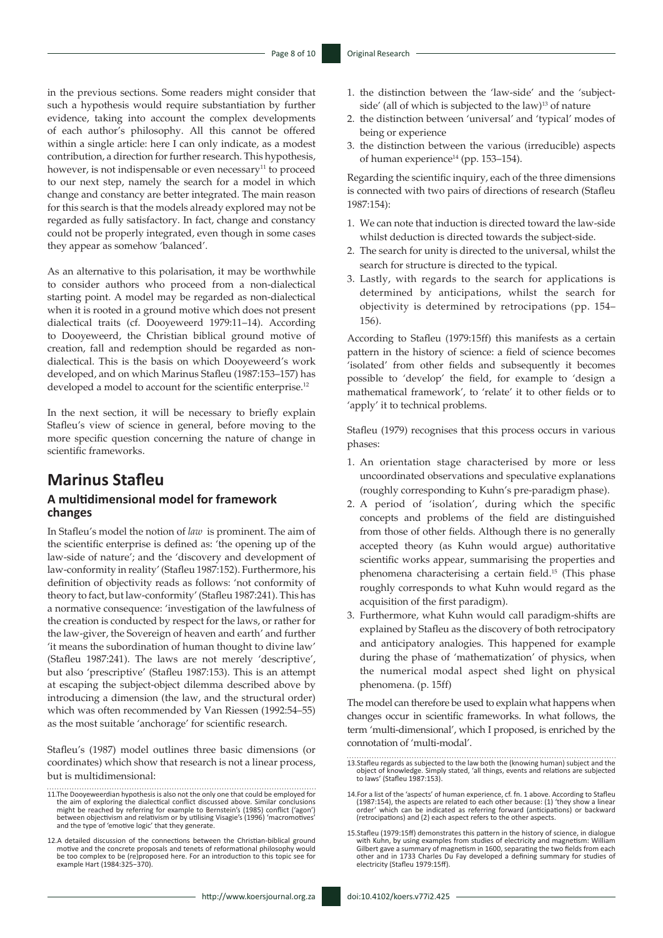in the previous sections. Some readers might consider that such a hypothesis would require substantiation by further evidence, taking into account the complex developments of each author's philosophy. All this cannot be offered within a single article: here I can only indicate, as a modest contribution, a direction for further research. This hypothesis, however, is not indispensable or even necessary<sup>11</sup> to proceed to our next step, namely the search for a model in which change and constancy are better integrated. The main reason for this search is that the models already explored may not be regarded as fully satisfactory. In fact, change and constancy could not be properly integrated, even though in some cases they appear as somehow 'balanced'.

As an alternative to this polarisation, it may be worthwhile to consider authors who proceed from a non-dialectical starting point. A model may be regarded as non-dialectical when it is rooted in a ground motive which does not present dialectical traits (cf. Dooyeweerd 1979:11–14). According to Dooyeweerd, the Christian biblical ground motive of creation, fall and redemption should be regarded as nondialectical. This is the basis on which Dooyeweerd's work developed, and on which Marinus Stafleu (1987:153–157) has developed a model to account for the scientific enterprise.<sup>12</sup>

In the next section, it will be necessary to briefly explain Stafleu's view of science in general, before moving to the more specific question concerning the nature of change in scientific frameworks.

# **Marinus Stafleu**

### **A multidimensional model for framework changes**

In Stafleu's model the notion of *law* is prominent. The aim of the scientific enterprise is defined as: 'the opening up of the law-side of nature'; and the 'discovery and development of law-conformity in reality' (Stafleu 1987:152). Furthermore, his definition of objectivity reads as follows: 'not conformity of theory to fact, but law-conformity' (Stafleu 1987:241). This has a normative consequence: 'investigation of the lawfulness of the creation is conducted by respect for the laws, or rather for the law-giver, the Sovereign of heaven and earth' and further 'it means the subordination of human thought to divine law' (Stafleu 1987:241). The laws are not merely 'descriptive', but also 'prescriptive' (Stafleu 1987:153). This is an attempt at escaping the subject-object dilemma described above by introducing a dimension (the law, and the structural order) which was often recommended by Van Riessen (1992:54–55) as the most suitable 'anchorage' for scientific research.

Stafleu's (1987) model outlines three basic dimensions (or coordinates) which show that research is not a linear process, but is multidimensional:

- 11.The Dooyeweerdian hypothesis is also not the only one that could be employed for the aim of exploring the dialectical conflict discussed above. Similar conclusions<br>might be reached by referring for example to Bernstein's (1985) conflict ('agon')<br>between objectivism and relativism or by utilising Visagi
- 12.A detailed discussion of the connections between the Christian-biblical ground motive and the concrete proposals and tenets of reformational philosophy would be too complex to be (re)proposed here. For an introduction to this topic see for example Hart (1984:325−370).
- 1. the distinction between the 'law-side' and the 'subjectside' (all of which is subjected to the law)<sup>13</sup> of nature
- 2. the distinction between 'universal' and 'typical' modes of being or experience
- 3. the distinction between the various (irreducible) aspects of human experience<sup>14</sup> (pp. 153–154).

Regarding the scientific inquiry, each of the three dimensions is connected with two pairs of directions of research (Stafleu 1987:154):

- 1. We can note that induction is directed toward the law-side whilst deduction is directed towards the subject-side.
- 2. The search for unity is directed to the universal, whilst the search for structure is directed to the typical.
- 3. Lastly, with regards to the search for applications is determined by anticipations, whilst the search for objectivity is determined by retrocipations (pp. 154– 156).

According to Stafleu (1979:15ff) this manifests as a certain pattern in the history of science: a field of science becomes 'isolated' from other fields and subsequently it becomes possible to 'develop' the field, for example to 'design a mathematical framework', to 'relate' it to other fields or to 'apply' it to technical problems.

Stafleu (1979) recognises that this process occurs in various phases:

- 1. An orientation stage characterised by more or less uncoordinated observations and speculative explanations (roughly corresponding to Kuhn's pre-paradigm phase).
- 2. A period of 'isolation', during which the specific concepts and problems of the field are distinguished from those of other fields. Although there is no generally accepted theory (as Kuhn would argue) authoritative scientific works appear, summarising the properties and phenomena characterising a certain field.15 (This phase roughly corresponds to what Kuhn would regard as the acquisition of the first paradigm).
- 3. Furthermore, what Kuhn would call paradigm-shifts are explained by Stafleu as the discovery of both retrocipatory and anticipatory analogies. This happened for example during the phase of 'mathematization' of physics, when the numerical modal aspect shed light on physical phenomena. (p. 15ff)

The model can therefore be used to explain what happens when changes occur in scientific frameworks. In what follows, the term 'multi-dimensional', which I proposed, is enriched by the connotation of 'multi-modal'.

<sup>13.</sup>Stafleu regards as subjected to the law both the (knowing human) subject and the object of knowledge. Simply stated, 'all things, events and relations are subjected to laws' (Stafleu 1987:153).

<sup>14.</sup>For a list of the 'aspects' of human experience, cf. fn. 1 above. According to Stafleu (1987:154), the aspects are related to each other because: (1) 'they show a linear order' which can be indicated as referring forward (anticipations) or backward (retrocipations) and (2) each aspect refers to the other aspects.

<sup>15.</sup> Stafleu (1979:15ff) demonstrates this pattern in the history of science, in dialogue<br>with Kuhn, by using examples from studies of electricity and magnetism: Wilh<br>Gilbert gave a summary of magnetism in 1600, separating other and in 1733 Charles Du Fay developed a defining summary for studies of electricity (Stafleu 1979:15ff).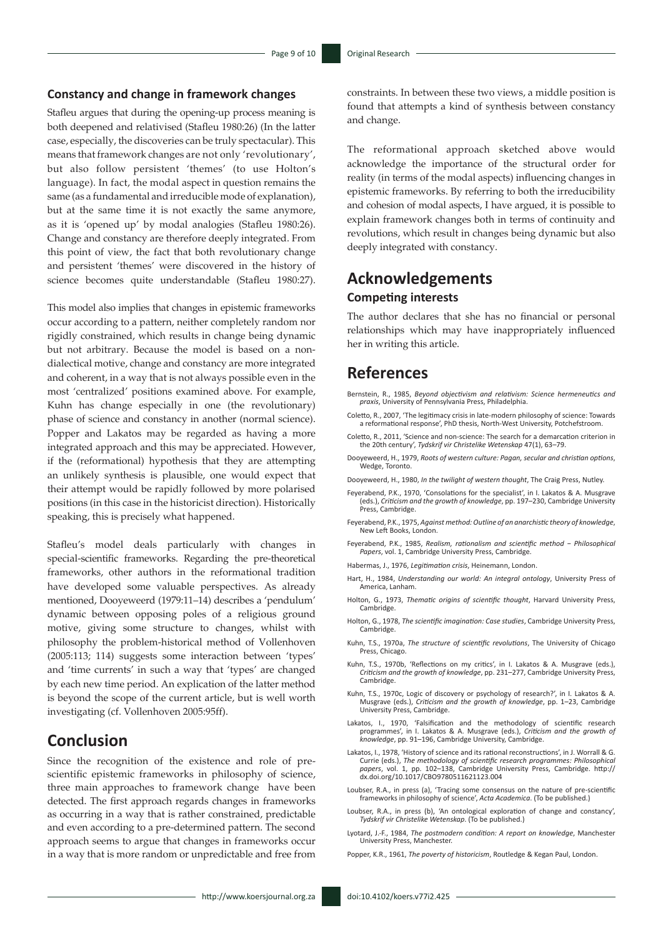#### **Constancy and change in framework changes**

Stafleu argues that during the opening-up process meaning is both deepened and relativised (Stafleu 1980:26) (In the latter case, especially, the discoveries can be truly spectacular). This means that framework changes are not only 'revolutionary', but also follow persistent 'themes' (to use Holton's language). In fact, the modal aspect in question remains the same (as a fundamental and irreducible mode of explanation), but at the same time it is not exactly the same anymore, as it is 'opened up' by modal analogies (Stafleu 1980:26). Change and constancy are therefore deeply integrated. From this point of view, the fact that both revolutionary change and persistent 'themes' were discovered in the history of science becomes quite understandable (Stafleu 1980:27).

This model also implies that changes in epistemic frameworks occur according to a pattern, neither completely random nor rigidly constrained, which results in change being dynamic but not arbitrary. Because the model is based on a nondialectical motive, change and constancy are more integrated and coherent, in a way that is not always possible even in the most 'centralized' positions examined above. For example, Kuhn has change especially in one (the revolutionary) phase of science and constancy in another (normal science). Popper and Lakatos may be regarded as having a more integrated approach and this may be appreciated. However, if the (reformational) hypothesis that they are attempting an unlikely synthesis is plausible, one would expect that their attempt would be rapidly followed by more polarised positions (in this case in the historicist direction). Historically speaking, this is precisely what happened.

Stafleu's model deals particularly with changes in special-scientific frameworks. Regarding the pre-theoretical frameworks, other authors in the reformational tradition have developed some valuable perspectives. As already mentioned, Dooyeweerd (1979:11–14) describes a 'pendulum' dynamic between opposing poles of a religious ground motive, giving some structure to changes, whilst with philosophy the problem-historical method of Vollenhoven (2005:113; 114) suggests some interaction between 'types' and 'time currents' in such a way that 'types' are changed by each new time period. An explication of the latter method is beyond the scope of the current article, but is well worth investigating (cf. Vollenhoven 2005:95ff).

# **Conclusion**

Since the recognition of the existence and role of prescientific epistemic frameworks in philosophy of science, three main approaches to framework change have been detected. The first approach regards changes in frameworks as occurring in a way that is rather constrained, predictable and even according to a pre-determined pattern. The second approach seems to argue that changes in frameworks occur in a way that is more random or unpredictable and free from

constraints. In between these two views, a middle position is found that attempts a kind of synthesis between constancy and change.

The reformational approach sketched above would acknowledge the importance of the structural order for reality (in terms of the modal aspects) influencing changes in epistemic frameworks. By referring to both the irreducibility and cohesion of modal aspects, I have argued, it is possible to explain framework changes both in terms of continuity and revolutions, which result in changes being dynamic but also deeply integrated with constancy.

# **Acknowledgements Competing interests**

The author declares that she has no financial or personal relationships which may have inappropriately influenced her in writing this article.

# **References**

- Bernstein, R., 1985, *Beyond objectivism and relativism: Science hermeneutics and praxis*, University of Pennsylvania Press, Philadelphia.
- Coletto, R., 2007, 'The legitimacy crisis in late-modern philosophy of science: Towards a reformational response', PhD thesis, North-West University, Potchefstroom.
- Coletto, R., 2011, 'Science and non-science: The search for a demarcation criterion in the 20th century', *Tydskrif vir Christelike Wetenskap* 47(1), 63–79.
- Dooyeweerd, H., 1979, *Roots of western culture: Pagan, secular and christian options*, Wedge, Toronto.
- Dooyeweerd, H., 1980, *In the twilight of western thought*, The Craig Press, Nutley.
- Feyerabend, P.K., 1970, 'Consolations for the specialist', in I. Lakatos & A. Musgrave (eds.), *Criticism and the growth of knowledge*, pp. 197–230, Cambridge University Press, Cambridge.
- Feyerabend, P.K., 1975, *Against method: Outline of an anarchistic theory of knowledge*, New Left Books, London.
- Feyerabend, P.K., 1985, *Realism, rationalism and scientific method − Philosophical Papers*, vol. 1, Cambridge University Press, Cambridge.
- Habermas, J., 1976, *Legitimation crisis*, Heinemann, London.
- Hart, H., 1984, *Understanding our world: An integral ontology*, University Press of America, Lanham.
- Holton, G., 1973, *Thematic origins of scientific thought*, Harvard University Press, **Cambridge**
- Holton, G., 1978, *The scientific imagination: Case studies*, Cambridge University Press, **Cambridge**
- Kuhn, T.S., 1970a, *The structure of scientific revolutions*, The University of Chicago Press, Chicago.
- Kuhn, T.S., 1970b, 'Reflections on my critics', in I. Lakatos & A. Musgrave (eds.), *Criticism and the growth of knowledge*, pp. 231–277, Cambridge University Press, **Cambridge**
- Kuhn, T.S., 1970c, Logic of discovery or psychology of research?', in I. Lakatos & A. Musgrave (eds.), *Criticism and the growth of knowledge*, pp. 1–23, Cambridge University Press, Cambridge.
- Lakatos, I., 1970, 'Falsification and the methodology of scientific research<br>programmes', in I. Lakatos & A. Musgrave (eds.), Criticism and the growth of<br>knowledge, pp. 91–196, Cambridge University, Cambridge.
- Lakatos, I., 1978, 'History of science and its rational reconstructions', in J. Worrall & G. Currie (eds.), *The methodology of scientific research programmes: Philosophical papers*, vol. 1, pp. 102–138, Cambridge University Press, Cambridge. [http://](http://dx.doi.org/10.1017/CBO9780511621123.004) [dx.doi.org/10.1017/CBO9780511621123.004](http://dx.doi.org/10.1017/CBO9780511621123.004)
- Loubser, R.A., in press (a), 'Tracing some consensus on the nature of pre-scientific frameworks in philosophy of science', *Acta Academica*. (To be published.)
- Loubser, R.A., in press (b), 'An ontological exploration of change and constancy', *Tydskrif vir Christelike Wetenskap*. (To be published.)
- Lyotard, J.-F., 1984, *The postmodern condition: A report on knowledge*, Manchester University Press, Manchester.
- Popper, K.R., 1961, *The poverty of historicism*, Routledge & Kegan Paul, London.